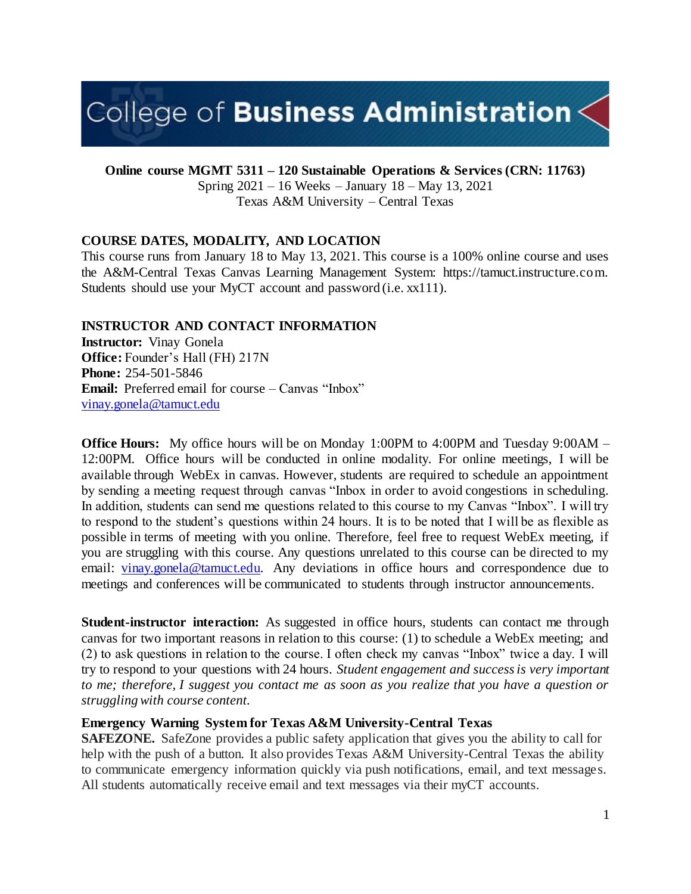# College of Business Administration $\leq$

**Online course MGMT 5311 – 120 Sustainable Operations & Services (CRN: 11763)**

Spring 2021 – 16 Weeks – January 18 – May 13, 2021 Texas A&M University – Central Texas

## **COURSE DATES, MODALITY, AND LOCATION**

This course runs from January 18 to May 13, 2021. This course is a 100% online course and uses the A&M-Central Texas Canvas Learning Management System: https://tamuct.instructure.com. Students should use your MyCT account and password (i.e. xx111).

## **INSTRUCTOR AND CONTACT INFORMATION**

**Instructor:** Vinay Gonela **Office:** Founder's Hall (FH) 217N **Phone:** 254-501-5846 **Email:** Preferred email for course – Canvas "Inbox" [vinay.gonela@tamuct.edu](mailto:vinay.gonela@tamuct.edu)

**Office Hours:** My office hours will be on Monday 1:00PM to 4:00PM and Tuesday 9:00AM – 12:00PM. Office hours will be conducted in online modality. For online meetings, I will be available through WebEx in canvas. However, students are required to schedule an appointment by sending a meeting request through canvas "Inbox in order to avoid congestions in scheduling. In addition, students can send me questions related to this course to my Canvas "Inbox". I will try to respond to the student's questions within 24 hours. It is to be noted that I will be as flexible as possible in terms of meeting with you online. Therefore, feel free to request WebEx meeting, if you are struggling with this course. Any questions unrelated to this course can be directed to my email: [vinay.gonela@tamuct.edu.](about:blank) Any deviations in office hours and correspondence due to meetings and conferences will be communicated to students through instructor announcements.

**Student-instructor interaction:** As suggested in office hours, students can contact me through canvas for two important reasons in relation to this course: (1) to schedule a WebEx meeting; and (2) to ask questions in relation to the course. I often check my canvas "Inbox" twice a day. I will try to respond to your questions with 24 hours. *Student engagement and success is very important to me; therefore, I suggest you contact me as soon as you realize that you have a question or struggling with course content.*

## **Emergency Warning System for Texas A&M University-Central Texas**

**SAFEZONE.** SafeZone provides a public safety application that gives you the ability to call for help with the push of a button. It also provides Texas A&M University-Central Texas the ability to communicate emergency information quickly via push notifications, email, and text messages. All students automatically receive email and text messages via their myCT accounts.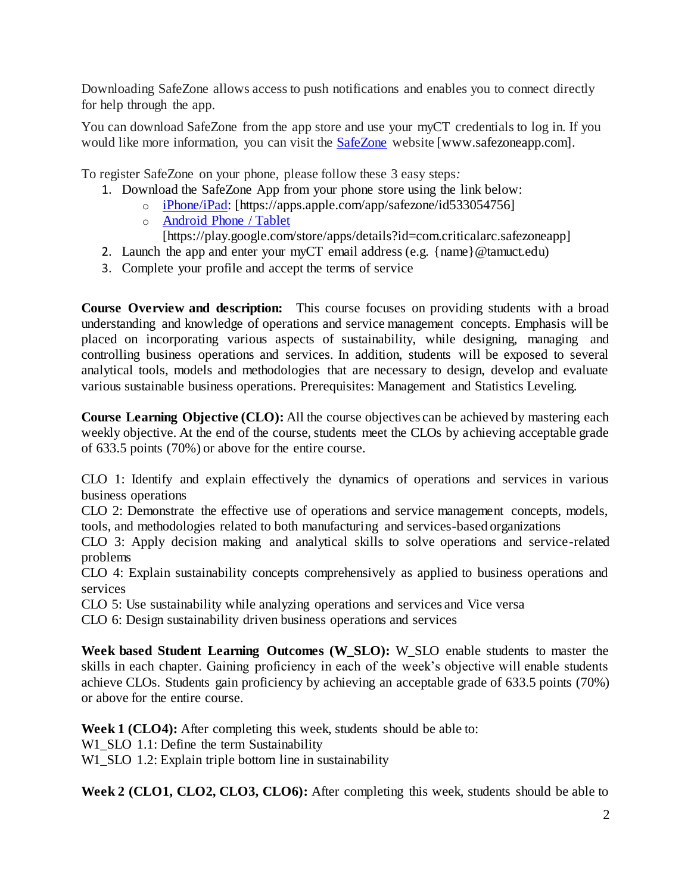Downloading SafeZone allows access to push notifications and enables you to connect directly for help through the app.

You can download SafeZone from the app store and use your myCT credentials to log in. If you would like more information, you can visit the **[SafeZone](http://www.safezoneapp.com/)** website [www.safezoneapp.com].

To register SafeZone on your phone, please follow these 3 easy steps*:*

- 1. Download the SafeZone App from your phone store using the link below:
	- o [iPhone/iPad:](https://apps.apple.com/app/safezone/id533054756) [https://apps.apple.com/app/safezone/id533054756]
	- o [Android Phone / Tablet](https://play.google.com/store/apps/details?id=com.criticalarc.safezoneapp) [https://play.google.com/store/apps/details?id=com.criticalarc.safezoneapp]
- 2. Launch the app and enter your myCT email address (e.g. {name}@tamuct.edu)
- 3. Complete your profile and accept the terms of service

**Course Overview and description:** This course focuses on providing students with a broad understanding and knowledge of operations and service management concepts. Emphasis will be placed on incorporating various aspects of sustainability, while designing, managing and controlling business operations and services. In addition, students will be exposed to several analytical tools, models and methodologies that are necessary to design, develop and evaluate various sustainable business operations. Prerequisites: Management and Statistics Leveling.

**Course Learning Objective (CLO):** All the course objectives can be achieved by mastering each weekly objective. At the end of the course, students meet the CLOs by achieving acceptable grade of 633.5 points (70%) or above for the entire course.

CLO 1: Identify and explain effectively the dynamics of operations and services in various business operations

CLO 2: Demonstrate the effective use of operations and service management concepts, models, tools, and methodologies related to both manufacturing and services-based organizations

CLO 3: Apply decision making and analytical skills to solve operations and service-related problems

CLO 4: Explain sustainability concepts comprehensively as applied to business operations and services

CLO 5: Use sustainability while analyzing operations and services and Vice versa

CLO 6: Design sustainability driven business operations and services

**Week based Student Learning Outcomes (W\_SLO):** W\_SLO enable students to master the skills in each chapter. Gaining proficiency in each of the week's objective will enable students achieve CLOs. Students gain proficiency by achieving an acceptable grade of 633.5 points (70%) or above for the entire course.

**Week 1 (CLO4):** After completing this week, students should be able to:

W1\_SLO 1.1: Define the term Sustainability

W1\_SLO 1.2: Explain triple bottom line in sustainability

**Week 2 (CLO1, CLO2, CLO3, CLO6):** After completing this week, students should be able to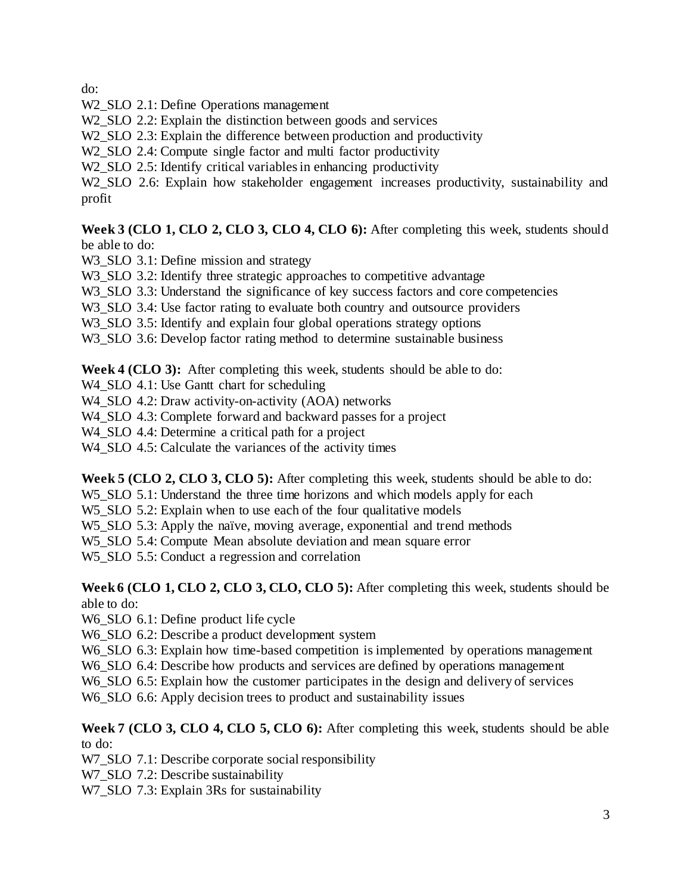do:

- W2\_SLO 2.1: Define Operations management
- W<sub>2</sub> SLO 2.2: Explain the distinction between goods and services
- W<sub>2</sub>\_SLO 2.3: Explain the difference between production and productivity
- W<sub>2</sub> SLO 2.4: Compute single factor and multi factor productivity
- W<sub>2</sub>\_SLO 2.5: Identify critical variables in enhancing productivity

W2\_SLO 2.6: Explain how stakeholder engagement increases productivity, sustainability and profit

## **Week 3 (CLO 1, CLO 2, CLO 3, CLO 4, CLO 6):** After completing this week, students should be able to do:

- W3\_SLO 3.1: Define mission and strategy
- W3\_SLO 3.2: Identify three strategic approaches to competitive advantage
- W3 SLO 3.3: Understand the significance of key success factors and core competencies
- W<sub>3</sub>\_SLO 3.4: Use factor rating to evaluate both country and outsource providers
- W<sub>3</sub>\_SLO 3.5: Identify and explain four global operations strategy options
- W<sub>3</sub> SLO 3.6: Develop factor rating method to determine sustainable business

**Week 4 (CLO 3):** After completing this week, students should be able to do:

W<sub>4</sub>\_SLO 4.1: Use Gantt chart for scheduling

- W4 SLO 4.2: Draw activity-on-activity (AOA) networks
- W4 SLO 4.3: Complete forward and backward passes for a project

W4\_SLO 4.4: Determine a critical path for a project

W<sub>4</sub> SLO 4.5: Calculate the variances of the activity times

**Week 5 (CLO 2, CLO 3, CLO 5):** After completing this week, students should be able to do:

W<sub>5</sub> SLO 5.1: Understand the three time horizons and which models apply for each

- W5\_SLO 5.2: Explain when to use each of the four qualitative models
- W<sub>5</sub> SLO 5.3: Apply the naïve, moving average, exponential and trend methods
- W5 SLO 5.4: Compute Mean absolute deviation and mean square error

W5 SLO 5.5: Conduct a regression and correlation

**Week 6 (CLO 1, CLO 2, CLO 3, CLO, CLO 5):** After completing this week, students should be able to do:

W6\_SLO 6.1: Define product life cycle

- W6\_SLO 6.2: Describe a product development system
- W<sub>6</sub>\_SLO 6.3: Explain how time-based competition is implemented by operations management
- W6 SLO 6.4: Describe how products and services are defined by operations management
- W<sub>6</sub>\_SLO 6.5: Explain how the customer participates in the design and delivery of services

W6\_SLO 6.6: Apply decision trees to product and sustainability issues

## **Week 7 (CLO 3, CLO 4, CLO 5, CLO 6):** After completing this week, students should be able to do:

W7\_SLO 7.1: Describe corporate social responsibility

W7\_SLO 7.2: Describe sustainability

W7 SLO 7.3: Explain 3Rs for sustainability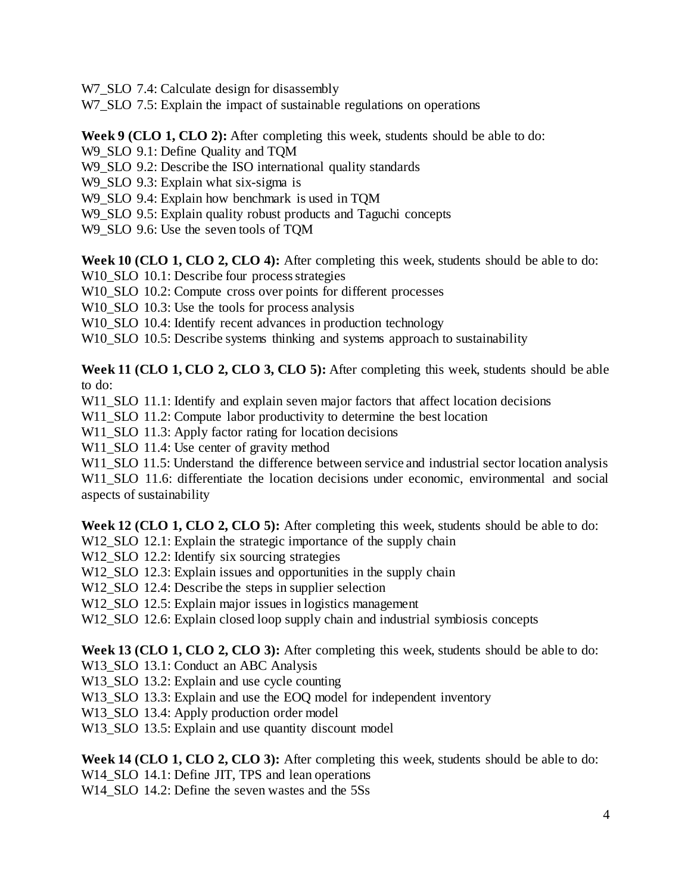W7 SLO 7.4: Calculate design for disassembly

W7 SLO 7.5: Explain the impact of sustainable regulations on operations

**Week 9 (CLO 1, CLO 2):** After completing this week, students should be able to do:

W9\_SLO 9.1: Define Quality and TQM

W9 SLO 9.2: Describe the ISO international quality standards

W9 SLO 9.3: Explain what six-sigma is

W9\_SLO 9.4: Explain how benchmark is used in TQM

W9 SLO 9.5: Explain quality robust products and Taguchi concepts

W9\_SLO 9.6: Use the seven tools of TQM

**Week 10 (CLO 1, CLO 2, CLO 4):** After completing this week, students should be able to do:

W10\_SLO 10.1: Describe four process strategies

W10\_SLO 10.2: Compute cross over points for different processes

W<sub>10</sub> SLO 10.3: Use the tools for process analysis

W<sub>10\_SLO</sub> 10.4: Identify recent advances in production technology

W<sub>10</sub> SLO 10.5: Describe systems thinking and systems approach to sustainability

**Week 11 (CLO 1, CLO 2, CLO 3, CLO 5):** After completing this week, students should be able to do:

W<sub>11</sub> SLO 11.1: Identify and explain seven major factors that affect location decisions

W11\_SLO 11.2: Compute labor productivity to determine the best location

W11\_SLO 11.3: Apply factor rating for location decisions

W11\_SLO 11.4: Use center of gravity method

W<sub>11\_SLO</sub> 11.5: Understand the difference between service and industrial sector location analysis

W<sub>11</sub> SLO 11.6: differentiate the location decisions under economic, environmental and social aspects of sustainability

**Week 12 (CLO 1, CLO 2, CLO 5):** After completing this week, students should be able to do:

W12 SLO 12.1: Explain the strategic importance of the supply chain

W12 SLO 12.2: Identify six sourcing strategies

W12 SLO 12.3: Explain issues and opportunities in the supply chain

W<sub>12</sub>\_SLO 12.4: Describe the steps in supplier selection

W12 SLO 12.5: Explain major issues in logistics management

W12\_SLO 12.6: Explain closed loop supply chain and industrial symbiosis concepts

**Week 13 (CLO 1, CLO 2, CLO 3):** After completing this week, students should be able to do:

W13 SLO 13.1: Conduct an ABC Analysis

W13\_SLO 13.2: Explain and use cycle counting

W13\_SLO 13.3: Explain and use the EOQ model for independent inventory

W13 SLO 13.4: Apply production order model

W13\_SLO 13.5: Explain and use quantity discount model

Week 14 (CLO 1, CLO 2, CLO 3): After completing this week, students should be able to do:

W14\_SLO 14.1: Define JIT, TPS and lean operations

W14 SLO 14.2: Define the seven wastes and the 5Ss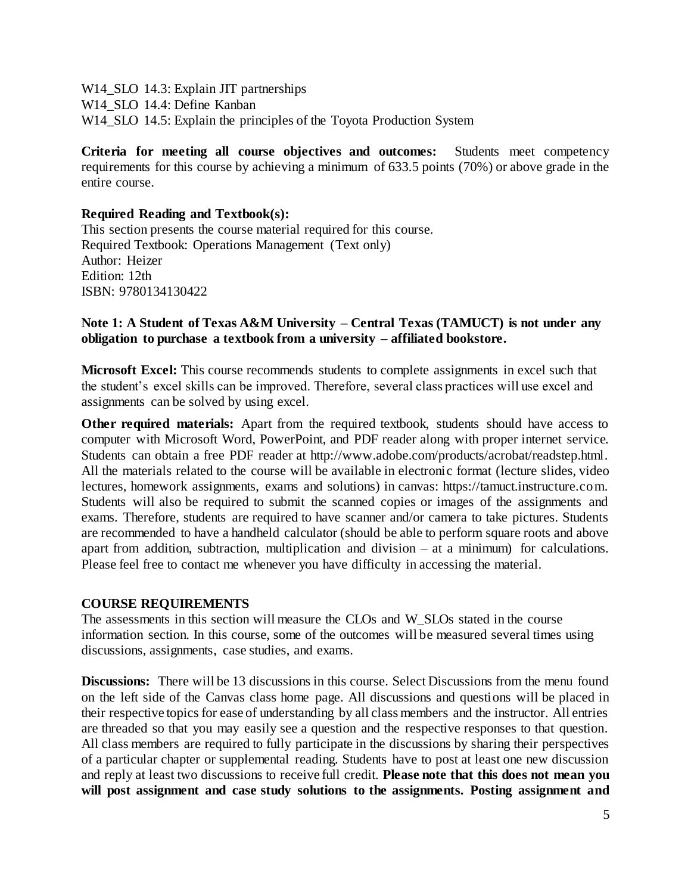W14\_SLO 14.3: Explain JIT partnerships W14 SLO 14.4: Define Kanban W14\_SLO 14.5: Explain the principles of the Toyota Production System

**Criteria for meeting all course objectives and outcomes:** Students meet competency requirements for this course by achieving a minimum of 633.5 points (70%) or above grade in the entire course.

#### **Required Reading and Textbook(s):**

This section presents the course material required for this course. Required Textbook: Operations Management (Text only) Author: Heizer Edition: 12th ISBN: 9780134130422

#### **Note 1: A Student of Texas A&M University – Central Texas (TAMUCT) is not under any obligation to purchase a textbook from a university – affiliated bookstore.**

**Microsoft Excel:** This course recommends students to complete assignments in excel such that the student's excel skills can be improved. Therefore, several class practices will use excel and assignments can be solved by using excel.

**Other required materials:** Apart from the required textbook, students should have access to computer with Microsoft Word, PowerPoint, and PDF reader along with proper internet service. Students can obtain a free PDF reader at http://www.adobe.com/products/acrobat/readstep.html. All the materials related to the course will be available in electronic format (lecture slides, video lectures, homework assignments, exams and solutions) in canvas: https://tamuct.instructure.com. Students will also be required to submit the scanned copies or images of the assignments and exams. Therefore, students are required to have scanner and/or camera to take pictures. Students are recommended to have a handheld calculator (should be able to perform square roots and above apart from addition, subtraction, multiplication and division – at a minimum) for calculations. Please feel free to contact me whenever you have difficulty in accessing the material.

#### **COURSE REQUIREMENTS**

The assessments in this section will measure the CLOs and W\_SLOs stated in the course information section. In this course, some of the outcomes will be measured several times using discussions, assignments, case studies, and exams.

**Discussions:** There will be 13 discussions in this course. Select Discussions from the menu found on the left side of the Canvas class home page. All discussions and questions will be placed in their respective topics for ease of understanding by all class members and the instructor. All entries are threaded so that you may easily see a question and the respective responses to that question. All class members are required to fully participate in the discussions by sharing their perspectives of a particular chapter or supplemental reading. Students have to post at least one new discussion and reply at least two discussions to receive full credit. **Please note that this does not mean you will post assignment and case study solutions to the assignments. Posting assignment and**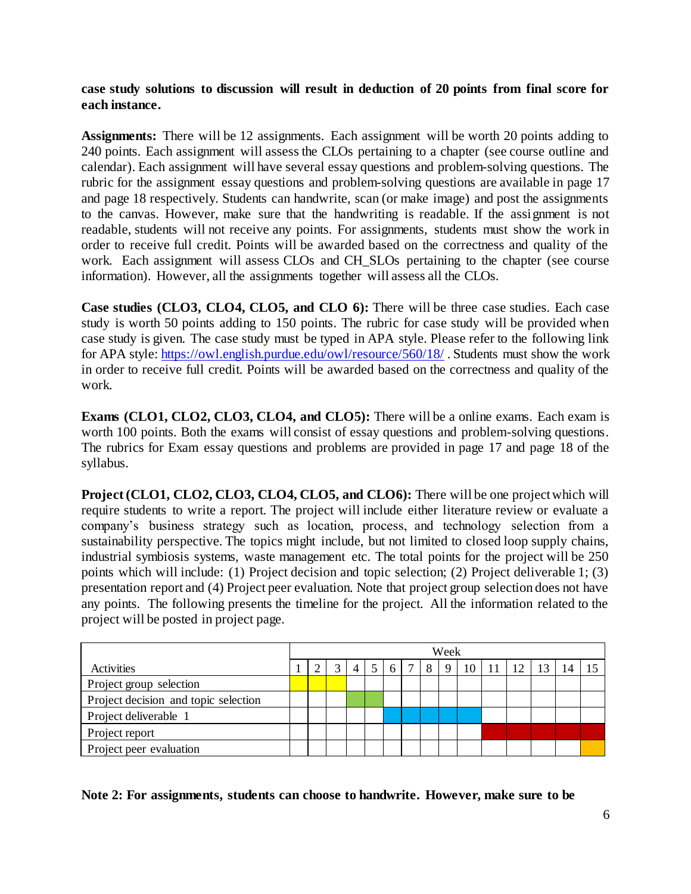**case study solutions to discussion will result in deduction of 20 points from final score for each instance.**

Assignments: There will be 12 assignments. Each assignment will be worth 20 points adding to 240 points. Each assignment will assess the CLOs pertaining to a chapter (see course outline and calendar). Each assignment will have several essay questions and problem-solving questions. The rubric for the assignment essay questions and problem-solving questions are available in page 17 and page 18 respectively. Students can handwrite, scan (or make image) and post the assignments to the canvas. However, make sure that the handwriting is readable. If the assignment is not readable, students will not receive any points. For assignments, students must show the work in order to receive full credit. Points will be awarded based on the correctness and quality of the work. Each assignment will assess CLOs and CH\_SLOs pertaining to the chapter (see course information). However, all the assignments together will assess all the CLOs.

**Case studies (CLO3, CLO4, CLO5, and CLO 6):** There will be three case studies. Each case study is worth 50 points adding to 150 points. The rubric for case study will be provided when case study is given. The case study must be typed in APA style. Please refer to the following link for APA style:<https://owl.english.purdue.edu/owl/resource/560/18/> . Students must show the work in order to receive full credit. Points will be awarded based on the correctness and quality of the work.

**Exams (CLO1, CLO2, CLO3, CLO4, and CLO5):** There will be a online exams. Each exam is worth 100 points. Both the exams will consist of essay questions and problem-solving questions. The rubrics for Exam essay questions and problems are provided in page 17 and page 18 of the syllabus.

**Project (CLO1, CLO2, CLO3, CLO4, CLO5, and CLO6):** There will be one project which will require students to write a report. The project will include either literature review or evaluate a company's business strategy such as location, process, and technology selection from a sustainability perspective. The topics might include, but not limited to closed loop supply chains, industrial symbiosis systems, waste management etc. The total points for the project will be 250 points which will include: (1) Project decision and topic selection; (2) Project deliverable 1; (3) presentation report and (4) Project peer evaluation. Note that project group selection does not have any points. The following presents the timeline for the project. All the information related to the project will be posted in project page.

|                                      |  | Week |              |                |                 |   |  |   |                |  |                                   |    |  |
|--------------------------------------|--|------|--------------|----------------|-----------------|---|--|---|----------------|--|-----------------------------------|----|--|
| Activities                           |  |      | $\mathbf{R}$ | $\overline{4}$ | $5\overline{5}$ | 6 |  | 8 | 9 <sub>1</sub> |  | $10 \mid 11 \mid 12 \mid 13 \mid$ | 14 |  |
| Project group selection              |  |      |              |                |                 |   |  |   |                |  |                                   |    |  |
| Project decision and topic selection |  |      |              |                |                 |   |  |   |                |  |                                   |    |  |
| Project deliverable 1                |  |      |              |                |                 |   |  |   |                |  |                                   |    |  |
| Project report                       |  |      |              |                |                 |   |  |   |                |  |                                   |    |  |
| Project peer evaluation              |  |      |              |                |                 |   |  |   |                |  |                                   |    |  |

**Note 2: For assignments, students can choose to handwrite. However, make sure to be**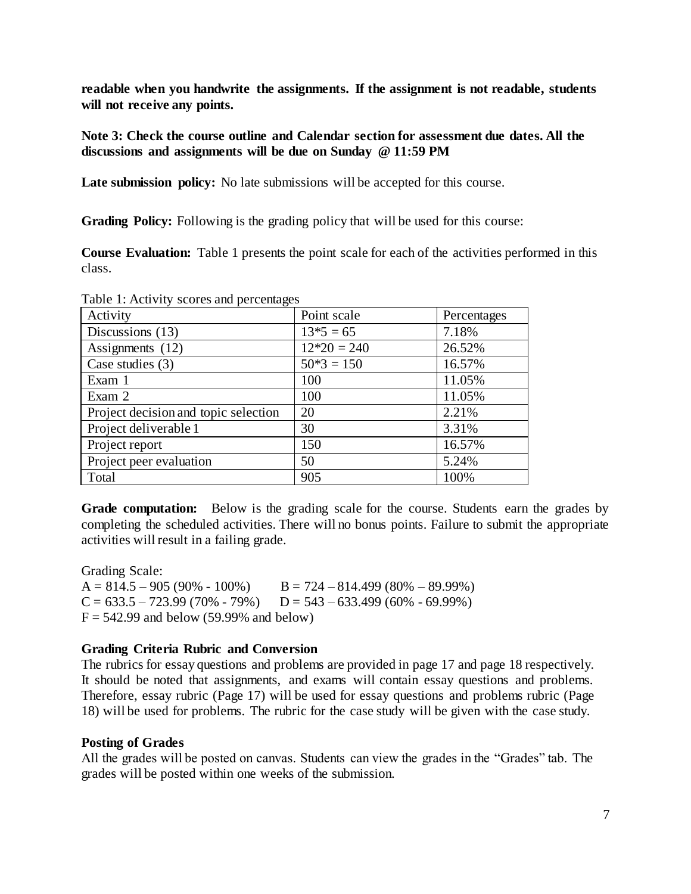**readable when you handwrite the assignments. If the assignment is not readable, students will not receive any points.**

**Note 3: Check the course outline and Calendar section for assessment due dates. All the discussions and assignments will be due on Sunday @ 11:59 PM**

**Late submission policy:** No late submissions will be accepted for this course.

**Grading Policy:** Following is the grading policy that will be used for this course:

**Course Evaluation:** Table 1 presents the point scale for each of the activities performed in this class.

| Activity                             | Point scale   | Percentages |
|--------------------------------------|---------------|-------------|
| Discussions (13)                     | $13*5 = 65$   | 7.18%       |
| Assignments (12)                     | $12*20 = 240$ | 26.52%      |
| Case studies $(3)$                   | $50*3 = 150$  | 16.57%      |
| Exam 1                               | 100           | 11.05%      |
| Exam 2                               | 100           | 11.05%      |
| Project decision and topic selection | 20            | 2.21%       |
| Project deliverable 1                | 30            | 3.31%       |
| Project report                       | 150           | 16.57%      |
| Project peer evaluation              | 50            | 5.24%       |
| Total                                | 905           | 100%        |

Table 1: Activity scores and percentages

**Grade computation:** Below is the grading scale for the course. Students earn the grades by completing the scheduled activities. There will no bonus points. Failure to submit the appropriate activities will result in a failing grade.

Grading Scale:  $A = 814.5 - 905 (90\% - 100\%)$   $B = 724 - 814.499 (80\% - 89.99\%)$  $C = 633.5 - 723.99 (70\% - 79\%)$   $D = 543 - 633.499 (60\% - 69.99\%)$  $F = 542.99$  and below (59.99% and below)

## **Grading Criteria Rubric and Conversion**

The rubrics for essay questions and problems are provided in page 17 and page 18 respectively. It should be noted that assignments, and exams will contain essay questions and problems. Therefore, essay rubric (Page 17) will be used for essay questions and problems rubric (Page 18) will be used for problems. The rubric for the case study will be given with the case study.

## **Posting of Grades**

All the grades will be posted on canvas. Students can view the grades in the "Grades" tab. The grades will be posted within one weeks of the submission.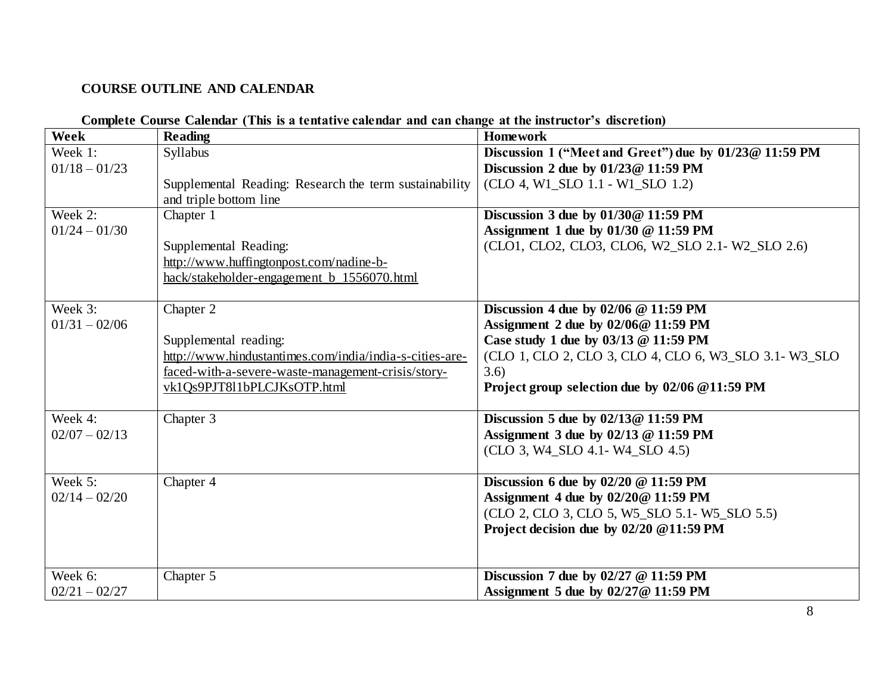# **COURSE OUTLINE AND CALENDAR**

| Week                                                     | Compicte Course Calendar   I ms is a tematrye calendar and can enange at the mstructur s'ulserction)<br><b>Reading</b>                                                                                                      | <b>Homework</b>                                                                                                                                                                                                                                                           |
|----------------------------------------------------------|-----------------------------------------------------------------------------------------------------------------------------------------------------------------------------------------------------------------------------|---------------------------------------------------------------------------------------------------------------------------------------------------------------------------------------------------------------------------------------------------------------------------|
| Week 1:<br>$01/18 - 01/23$<br>Week 2:<br>$01/24 - 01/30$ | Syllabus<br>Supplemental Reading: Research the term sustainability<br>and triple bottom line<br>Chapter 1<br>Supplemental Reading:<br>http://www.huffingtonpost.com/nadine-b-<br>hack/stakeholder-engagement_b_1556070.html | Discussion 1 ("Meet and Greet") due by 01/23@ 11:59 PM<br>Discussion 2 due by $01/23@11:59$ PM<br>(CLO 4, W1 SLO 1.1 - W1 SLO 1.2)<br>Discussion 3 due by 01/30@ 11:59 PM<br>Assignment 1 due by $01/30 \ @$ 11:59 PM<br>(CLO1, CLO2, CLO3, CLO6, W2_SLO 2.1- W2_SLO 2.6) |
| Week 3:<br>$01/31 - 02/06$                               | Chapter 2<br>Supplemental reading:<br>http://www.hindustantimes.com/india/india-s-cities-are-<br>faced-with-a-severe-waste-management-crisis/story-<br>vk1Qs9PJT811bPLCJKsOTP.html                                          | Discussion 4 due by $02/06 \ @ 11:59 \text{ PM}$<br>Assignment 2 due by 02/06@ 11:59 PM<br>Case study 1 due by 03/13 @ 11:59 PM<br>(CLO 1, CLO 2, CLO 3, CLO 4, CLO 6, W3 SLO 3.1 - W3 SLO<br>3.6)<br>Project group selection due by 02/06 @11:59 PM                      |
| Week 4:<br>$02/07 - 02/13$                               | Chapter 3                                                                                                                                                                                                                   | Discussion 5 due by 02/13@ 11:59 PM<br>Assignment 3 due by 02/13 @ 11:59 PM<br>(CLO 3, W4 SLO 4.1- W4 SLO 4.5)                                                                                                                                                            |
| Week 5:<br>$02/14 - 02/20$                               | Chapter 4                                                                                                                                                                                                                   | Discussion 6 due by $02/20 \ @$ 11:59 PM<br>Assignment 4 due by 02/20@ 11:59 PM<br>(CLO 2, CLO 3, CLO 5, W5_SLO 5.1- W5_SLO 5.5)<br>Project decision due by 02/20 @11:59 PM                                                                                               |
| Week 6:<br>$02/21 - 02/27$                               | Chapter 5                                                                                                                                                                                                                   | Discussion 7 due by $02/27$ @ 11:59 PM<br>Assignment 5 due by 02/27@ 11:59 PM                                                                                                                                                                                             |

#### **Complete Course Calendar (This is a tentative calendar and can change at the instructor's discretion)**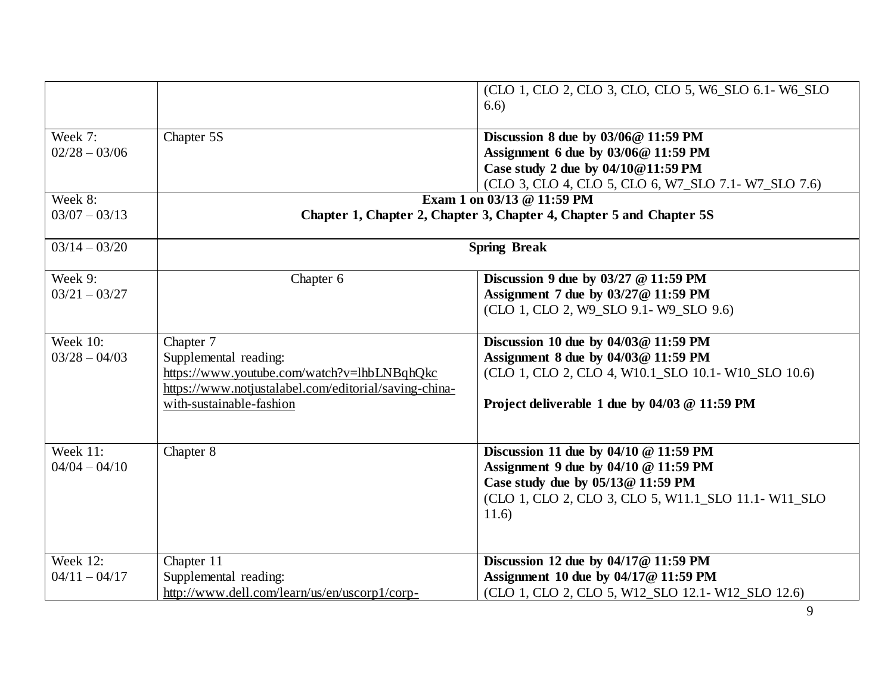|                 |                                                                                                      | (CLO 1, CLO 2, CLO 3, CLO, CLO 5, W6_SLO 6.1- W6_SLO<br>6.6)                              |
|-----------------|------------------------------------------------------------------------------------------------------|-------------------------------------------------------------------------------------------|
| Week 7:         | Chapter 5S                                                                                           | Discussion 8 due by $03/06@11:59$ PM                                                      |
| $02/28 - 03/06$ |                                                                                                      | Assignment 6 due by 03/06@ 11:59 PM                                                       |
|                 |                                                                                                      | Case study 2 due by 04/10@11:59 PM                                                        |
|                 |                                                                                                      | (CLO 3, CLO 4, CLO 5, CLO 6, W7_SLO 7.1- W7_SLO 7.6)                                      |
| Week 8:         |                                                                                                      | Exam 1 on 03/13 @ 11:59 PM                                                                |
| $03/07 - 03/13$ |                                                                                                      | Chapter 1, Chapter 2, Chapter 3, Chapter 4, Chapter 5 and Chapter 5S                      |
| $03/14 - 03/20$ |                                                                                                      | <b>Spring Break</b>                                                                       |
| Week 9:         | Chapter 6                                                                                            | Discussion 9 due by $03/27$ @ 11:59 PM                                                    |
| $03/21 - 03/27$ |                                                                                                      | Assignment 7 due by 03/27 @ 11:59 PM                                                      |
|                 |                                                                                                      | (CLO 1, CLO 2, W9_SLO 9.1- W9_SLO 9.6)                                                    |
| <b>Week 10:</b> | Chapter 7                                                                                            | Discussion 10 due by 04/03@ 11:59 PM                                                      |
| $03/28 - 04/03$ | Supplemental reading:                                                                                | Assignment 8 due by 04/03@ 11:59 PM                                                       |
|                 | https://www.youtube.com/watch?v=lhbLNBqhQkc<br>https://www.notjustalabel.com/editorial/saving-china- | (CLO 1, CLO 2, CLO 4, W10.1 SLO 10.1 - W10 SLO 10.6)                                      |
|                 | with-sustainable-fashion                                                                             | Project deliverable 1 due by 04/03 @ 11:59 PM                                             |
|                 |                                                                                                      |                                                                                           |
| <b>Week 11:</b> | Chapter 8                                                                                            | Discussion 11 due by $04/10 \ @$ 11:59 PM                                                 |
| $04/04 - 04/10$ |                                                                                                      | Assignment 9 due by 04/10 @ 11:59 PM                                                      |
|                 |                                                                                                      | Case study due by 05/13@ 11:59 PM<br>(CLO 1, CLO 2, CLO 3, CLO 5, W11.1_SLO 11.1- W11_SLO |
|                 |                                                                                                      | 11.6)                                                                                     |
|                 |                                                                                                      |                                                                                           |
| Week 12:        | Chapter 11                                                                                           | Discussion 12 due by 04/17@ 11:59 PM                                                      |
| $04/11 - 04/17$ | Supplemental reading:                                                                                | Assignment 10 due by 04/17@ 11:59 PM                                                      |
|                 | http://www.dell.com/learn/us/en/uscorp1/corp-                                                        | (CLO 1, CLO 2, CLO 5, W12_SLO 12.1- W12_SLO 12.6)                                         |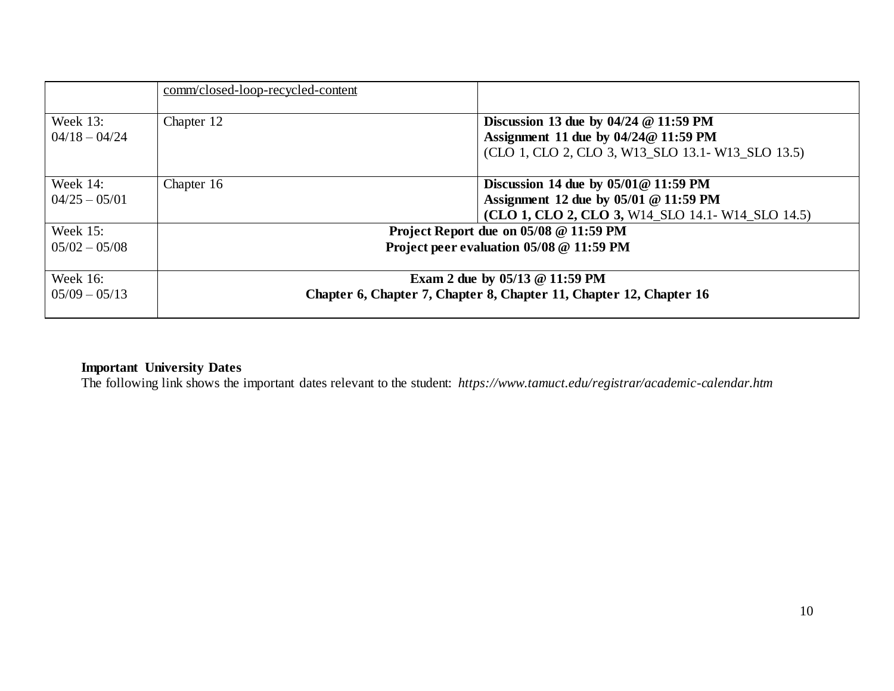|                                | comm/closed-loop-recycled-content |                                                                                                                |
|--------------------------------|-----------------------------------|----------------------------------------------------------------------------------------------------------------|
| Week $13$ :<br>$04/18 - 04/24$ | Chapter 12                        | Discussion 13 due by $04/24 \text{ } \textcircled{} 11:59 \text{ } PM$<br>Assignment 11 due by 04/24@ 11:59 PM |
|                                |                                   | (CLO 1, CLO 2, CLO 3, W13_SLO 13.1 - W13_SLO 13.5)                                                             |
| Week $14$ :                    | Chapter 16                        | Discussion 14 due by $05/01@11:59$ PM                                                                          |
| $04/25 - 05/01$                |                                   | Assignment 12 due by 05/01 @ 11:59 PM                                                                          |
|                                |                                   | (CLO 1, CLO 2, CLO 3, W14 SLO 14.1 - W14 SLO 14.5)                                                             |
| Week $15$ :                    |                                   | Project Report due on 05/08 @ 11:59 PM                                                                         |
| $05/02 - 05/08$                |                                   | Project peer evaluation 05/08 @ 11:59 PM                                                                       |
| Week 16:                       |                                   | Exam 2 due by $05/13 \text{ } \textcircled{ } 11:59 \text{ } PM$                                               |
| $05/09 - 05/13$                |                                   | Chapter 6, Chapter 7, Chapter 8, Chapter 11, Chapter 12, Chapter 16                                            |

#### **Important University Dates**

The following link shows the important dates relevant to the student: *https://www.tamuct.edu/registrar/academic-calendar.htm*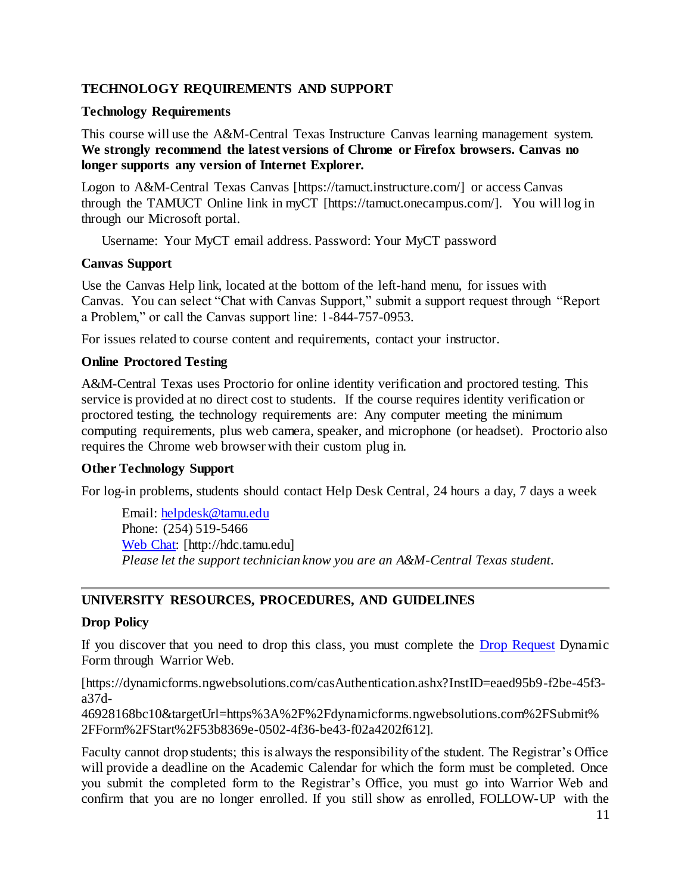## **TECHNOLOGY REQUIREMENTS AND SUPPORT**

#### **Technology Requirements**

This course will use the A&M-Central Texas Instructure Canvas learning management system. **We strongly recommend the latest versions of Chrome or Firefox browsers. Canvas no longer supports any version of Internet Explorer.**

Logon to A&M-Central Texas Canvas [https://tamuct.instructure.com/] or access Canvas through the TAMUCT Online link in myCT [https://tamuct.onecampus.com/]. You will log in through our Microsoft portal.

Username: Your MyCT email address. Password: Your MyCT password

#### **Canvas Support**

Use the Canvas Help link, located at the bottom of the left-hand menu, for issues with Canvas. You can select "Chat with Canvas Support," submit a support request through "Report a Problem," or call the Canvas support line: 1-844-757-0953.

For issues related to course content and requirements, contact your instructor.

#### **Online Proctored Testing**

A&M-Central Texas uses Proctorio for online identity verification and proctored testing. This service is provided at no direct cost to students. If the course requires identity verification or proctored testing, the technology requirements are: Any computer meeting the minimum computing requirements, plus web camera, speaker, and microphone (or headset). Proctorio also requires the Chrome web browser with their custom plug in.

#### **Other Technology Support**

For log-in problems, students should contact Help Desk Central, 24 hours a day, 7 days a week

Email: [helpdesk@tamu.edu](mailto:helpdesk@tamu.edu) Phone: (254) 519-5466 [Web Chat:](http://hdc.tamu.edu/) [http://hdc.tamu.edu] *Please let the support technician know you are an A&M-Central Texas student.*

#### **UNIVERSITY RESOURCES, PROCEDURES, AND GUIDELINES**

#### **Drop Policy**

If you discover that you need to drop this class, you must complete the **Drop Request Dynamic** Form through Warrior Web.

[https://dynamicforms.ngwebsolutions.com/casAuthentication.ashx?InstID=eaed95b9-f2be-45f3 a37d-

46928168bc10&targetUrl=https%3A%2F%2Fdynamicforms.ngwebsolutions.com%2FSubmit% 2FForm%2FStart%2F53b8369e-0502-4f36-be43-f02a4202f612].

Faculty cannot drop students; this is always the responsibility of the student. The Registrar's Office will provide a deadline on the Academic Calendar for which the form must be completed. Once you submit the completed form to the Registrar's Office, you must go into Warrior Web and confirm that you are no longer enrolled. If you still show as enrolled, FOLLOW-UP with the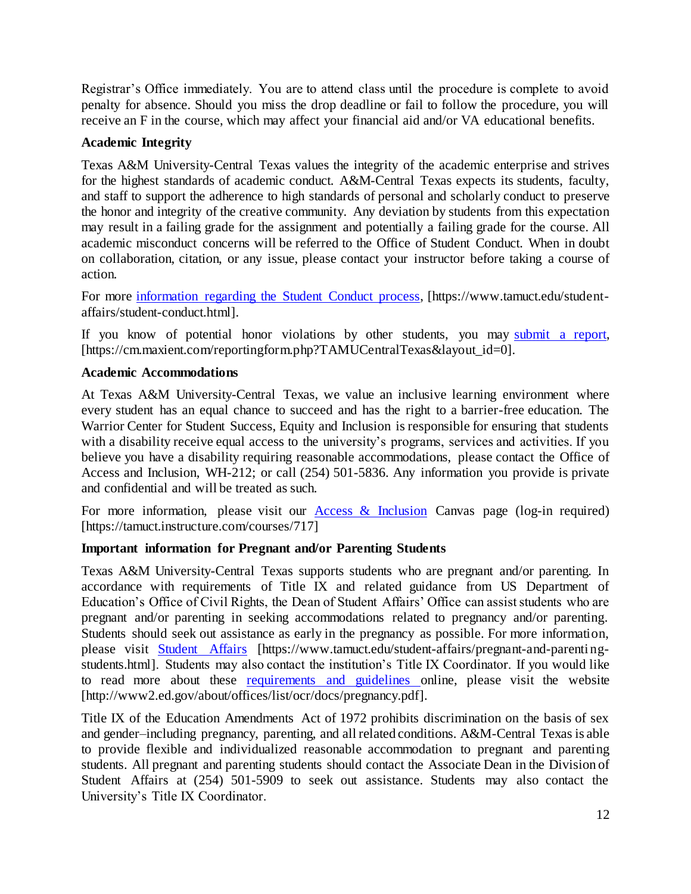Registrar's Office immediately. You are to attend class until the procedure is complete to avoid penalty for absence. Should you miss the drop deadline or fail to follow the procedure, you will receive an F in the course, which may affect your financial aid and/or VA educational benefits.

## **Academic Integrity**

Texas A&M University-Central Texas values the integrity of the academic enterprise and strives for the highest standards of academic conduct. A&M-Central Texas expects its students, faculty, and staff to support the adherence to high standards of personal and scholarly conduct to preserve the honor and integrity of the creative community. Any deviation by students from this expectation may result in a failing grade for the assignment and potentially a failing grade for the course. All academic misconduct concerns will be referred to the Office of Student Conduct. When in doubt on collaboration, citation, or any issue, please contact your instructor before taking a course of action.

For more [information](https://nam04.safelinks.protection.outlook.com/?url=https%3A%2F%2Fwww.tamuct.edu%2Fstudent-affairs%2Fstudent-conduct.html&data=04%7C01%7Clisa.bunkowski%40tamuct.edu%7Ccfb6e486f24745f53e1a08d910055cb2%7C9eed4e3000f744849ff193ad8005acec%7C0%7C0%7C637558437485252160%7CUnknown%7CTWFpbGZsb3d8eyJWIjoiMC4wLjAwMDAiLCJQIjoiV2luMzIiLCJBTiI6Ik1haWwiLCJXVCI6Mn0%3D%7C1000&sdata=yjftDEVHvLX%2FhM%2FcFU0B99krV1RgEWR%2BJ%2BhvtoR6TYk%3D&reserved=0) regarding the Student Conduct process, [https://www.tamuct.edu/studentaffairs/student-conduct.html].

If you know of potential honor violations by other students, you may [submit](https://nam04.safelinks.protection.outlook.com/?url=https%3A%2F%2Fcm.maxient.com%2Freportingform.php%3FTAMUCentralTexas%26layout_id%3D0&data=04%7C01%7Clisa.bunkowski%40tamuct.edu%7Ccfb6e486f24745f53e1a08d910055cb2%7C9eed4e3000f744849ff193ad8005acec%7C0%7C0%7C637558437485262157%7CUnknown%7CTWFpbGZsb3d8eyJWIjoiMC4wLjAwMDAiLCJQIjoiV2luMzIiLCJBTiI6Ik1haWwiLCJXVCI6Mn0%3D%7C1000&sdata=CXGkOa6uPDPX1IMZ87z3aZDq2n91xfHKu4MMS43Ejjk%3D&reserved=0) a report, [https://cm.maxient.com/reportingform.php?TAMUCentralTexas&layout\_id=0].

## **Academic Accommodations**

At Texas A&M University-Central Texas, we value an inclusive learning environment where every student has an equal chance to succeed and has the right to a barrier-free education. The Warrior Center for Student Success, Equity and Inclusion is responsible for ensuring that students with a disability receive equal access to the university's programs, services and activities. If you believe you have a disability requiring reasonable accommodations, please contact the Office of Access and Inclusion, WH-212; or call (254) 501-5836. Any information you provide is private and confidential and will be treated as such.

For more information, please visit our  $\frac{\text{Access } \& \text{ Inclusion}}{\text{Cans}}$  Canvas page (log-in required) [https://tamuct.instructure.com/courses/717]

## **Important information for Pregnant and/or Parenting Students**

Texas A&M University-Central Texas supports students who are pregnant and/or parenting. In accordance with requirements of Title IX and related guidance from US Department of Education's Office of Civil Rights, the Dean of Student Affairs' Office can assist students who are pregnant and/or parenting in seeking accommodations related to pregnancy and/or parenting. Students should seek out assistance as early in the pregnancy as possible. For more information, please visit [Student Affairs](https://www.tamuct.edu/student-affairs/pregnant-and-parenting-students.html) [https://www.tamuct.edu/student-affairs/pregnant-and-parentingstudents.html]. Students may also contact the institution's Title IX Coordinator. If you would like to read more about these [requirements and guidelines](http://www2.ed.gov/about/offices/list/ocr/docs/pregnancy.pdf) online, please visit the website [http://www2.ed.gov/about/offices/list/ocr/docs/pregnancy.pdf].

Title IX of the Education Amendments Act of 1972 prohibits discrimination on the basis of sex and gender–including pregnancy, parenting, and all related conditions. A&M-Central Texas is able to provide flexible and individualized reasonable accommodation to pregnant and parenting students. All pregnant and parenting students should contact the Associate Dean in the Division of Student Affairs at (254) 501-5909 to seek out assistance. Students may also contact the University's Title IX Coordinator.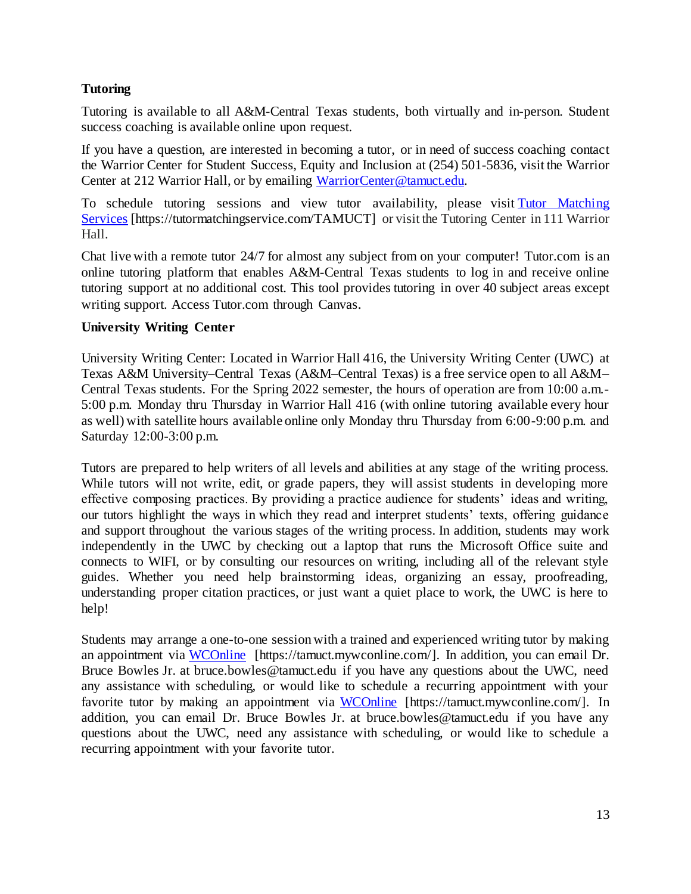## **Tutoring**

Tutoring is available to all A&M-Central Texas students, both virtually and in-person. Student success coaching is available online upon request.

If you have a question, are interested in becoming a tutor, or in need of success coaching contact the Warrior Center for Student Success, Equity and Inclusion at (254) 501-5836, visit the Warrior Center at 212 Warrior Hall, or by emailing [WarriorCenter@tamuct.edu.](mailto:WarriorCenter@tamuct.edu)

To schedule tutoring sessions and view tutor availability, please visit Tutor [Matching](https://tutormatchingservice.com/TAMUCT) [Services](https://tutormatchingservice.com/TAMUCT) [https://tutormatchingservice.com/TAMUCT] or visit the Tutoring Center in 111 Warrior Hall.

Chat live with a remote tutor 24/7 for almost any subject from on your computer! Tutor.com is an online tutoring platform that enables A&M-Central Texas students to log in and receive online tutoring support at no additional cost. This tool provides tutoring in over 40 subject areas except writing support. Access Tutor.com through Canvas.

## **University Writing Center**

University Writing Center: Located in Warrior Hall 416, the University Writing Center (UWC) at Texas A&M University–Central Texas (A&M–Central Texas) is a free service open to all A&M– Central Texas students. For the Spring 2022 semester, the hours of operation are from 10:00 a.m.- 5:00 p.m. Monday thru Thursday in Warrior Hall 416 (with online tutoring available every hour as well) with satellite hours available online only Monday thru Thursday from 6:00-9:00 p.m. and Saturday 12:00-3:00 p.m.

Tutors are prepared to help writers of all levels and abilities at any stage of the writing process. While tutors will not write, edit, or grade papers, they will assist students in developing more effective composing practices. By providing a practice audience for students' ideas and writing, our tutors highlight the ways in which they read and interpret students' texts, offering guidance and support throughout the various stages of the writing process. In addition, students may work independently in the UWC by checking out a laptop that runs the Microsoft Office suite and connects to WIFI, or by consulting our resources on writing, including all of the relevant style guides. Whether you need help brainstorming ideas, organizing an essay, proofreading, understanding proper citation practices, or just want a quiet place to work, the UWC is here to help!

Students may arrange a one-to-one session with a trained and experienced writing tutor by making an appointment via [WCOnline](https://tamuct.mywconline.com/) [https://tamuct.mywconline.com/]. In addition, you can email Dr. Bruce Bowles Jr. at bruce.bowles@tamuct.edu if you have any questions about the UWC, need any assistance with scheduling, or would like to schedule a recurring appointment with your favorite tutor by making an appointment via [WCOnline](https://tamuct.mywconline.com/) [https://tamuct.mywconline.com/]. In addition, you can email Dr. Bruce Bowles Jr. at bruce.bowles@tamuct.edu if you have any questions about the UWC, need any assistance with scheduling, or would like to schedule a recurring appointment with your favorite tutor.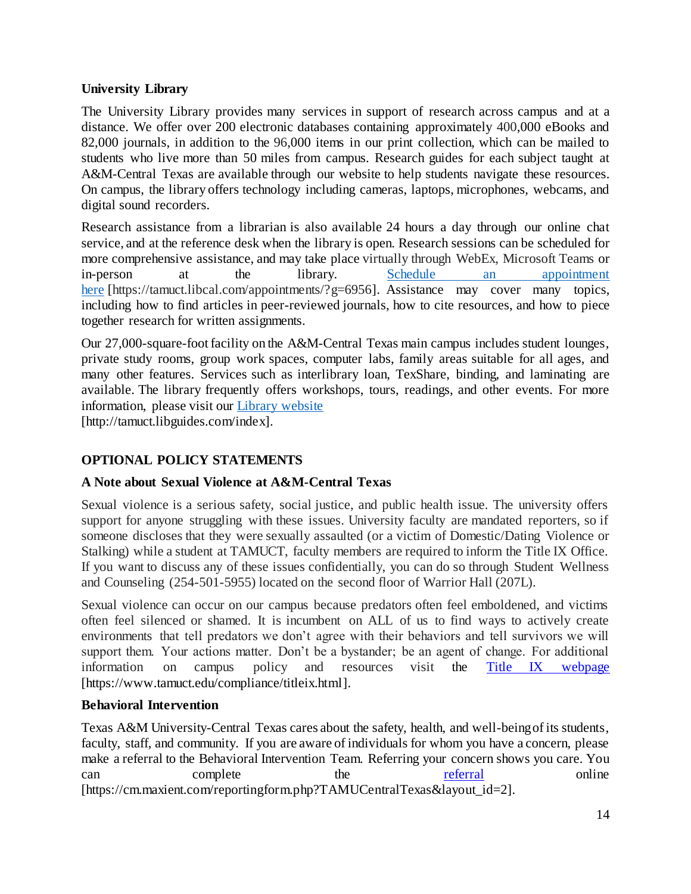## **University Library**

The University Library provides many services in support of research across campus and at a distance. We offer over 200 electronic databases containing approximately 400,000 eBooks and 82,000 journals, in addition to the 96,000 items in our print collection, which can be mailed to students who live more than 50 miles from campus. Research guides for each subject taught at A&M-Central Texas are available through our website to help students navigate these resources. On campus, the library offers technology including cameras, laptops, microphones, webcams, and digital sound recorders.

Research assistance from a librarian is also available 24 hours a day through our online chat service, and at the reference desk when the library is open. Research sessions can be scheduled for more comprehensive assistance, and may take place virtually through WebEx, Microsoft Teams or in-person at the library. Schedule an [appointment](https://nam04.safelinks.protection.outlook.com/?url=https%3A%2F%2Ftamuct.libcal.com%2Fappointments%2F%3Fg%3D6956&data=04%7C01%7Clisa.bunkowski%40tamuct.edu%7Cde2c07d9f5804f09518008d9ab7ba6ff%7C9eed4e3000f744849ff193ad8005acec%7C0%7C0%7C637729369835011558%7CUnknown%7CTWFpbGZsb3d8eyJWIjoiMC4wLjAwMDAiLCJQIjoiV2luMzIiLCJBTiI6Ik1haWwiLCJXVCI6Mn0%3D%7C3000&sdata=KhtjgRSAw9aq%2FoBsB6wyu8b7PSuGN5EGPypzr3Ty2No%3D&reserved=0) [here](https://nam04.safelinks.protection.outlook.com/?url=https%3A%2F%2Ftamuct.libcal.com%2Fappointments%2F%3Fg%3D6956&data=04%7C01%7Clisa.bunkowski%40tamuct.edu%7Cde2c07d9f5804f09518008d9ab7ba6ff%7C9eed4e3000f744849ff193ad8005acec%7C0%7C0%7C637729369835011558%7CUnknown%7CTWFpbGZsb3d8eyJWIjoiMC4wLjAwMDAiLCJQIjoiV2luMzIiLCJBTiI6Ik1haWwiLCJXVCI6Mn0%3D%7C3000&sdata=KhtjgRSAw9aq%2FoBsB6wyu8b7PSuGN5EGPypzr3Ty2No%3D&reserved=0) [https://tamuct.libcal.com/appointments/?g=6956]. Assistance may cover many topics, including how to find articles in peer-reviewed journals, how to cite resources, and how to piece together research for written assignments.

Our 27,000-square-foot facility on the A&M-Central Texas main campus includes student lounges, private study rooms, group work spaces, computer labs, family areas suitable for all ages, and many other features. Services such as interlibrary loan, TexShare, binding, and laminating are available. The library frequently offers workshops, tours, readings, and other events. For more information, please visit our Library [website](https://nam04.safelinks.protection.outlook.com/?url=https%3A%2F%2Ftamuct.libguides.com%2Findex&data=04%7C01%7Clisa.bunkowski%40tamuct.edu%7C7d8489e8839a4915335f08d916f067f2%7C9eed4e3000f744849ff193ad8005acec%7C0%7C0%7C637566044056484222%7CUnknown%7CTWFpbGZsb3d8eyJWIjoiMC4wLjAwMDAiLCJQIjoiV2luMzIiLCJBTiI6Ik1haWwiLCJXVCI6Mn0%3D%7C1000&sdata=2R755V6rcIyedGrd4Os5rkgn1PvhHKU3kUV1vBKiHFo%3D&reserved=0)

[http://tamuct.libguides.com/index].

# **OPTIONAL POLICY STATEMENTS**

## **A Note about Sexual Violence at A&M-Central Texas**

Sexual violence is a serious safety, social justice, and public health issue. The university offers support for anyone struggling with these issues. University faculty are mandated reporters, so if someone discloses that they were sexually assaulted (or a victim of Domestic/Dating Violence or Stalking) while a student at TAMUCT, faculty members are required to inform the Title IX Office. If you want to discuss any of these issues confidentially, you can do so through Student Wellness and Counseling (254-501-5955) located on the second floor of Warrior Hall (207L).

Sexual violence can occur on our campus because predators often feel emboldened, and victims often feel silenced or shamed. It is incumbent on ALL of us to find ways to actively create environments that tell predators we don't agree with their behaviors and tell survivors we will support them. Your actions matter. Don't be a bystander; be an agent of change. For additional information on campus policy and resources visit the [Title IX webpage](https://www.tamuct.edu/compliance/titleix.html) [\[https://www.tamuct.edu/compliance/titleix.html\].](https://www.tamuct.edu/compliance/titleix.html)

## **Behavioral Intervention**

Texas A&M University-Central Texas cares about the safety, health, and well-being of its students, faculty, staff, and community. If you are aware of individuals for whom you have a concern, please make a referral to the Behavioral Intervention Team. Referring your concern shows you care. You can complete the <u>[referral](https://cm.maxient.com/reportingform.php?TAMUCentralTexas&layout_id=2)</u> online [https://cm.maxient.com/reportingform.php?TAMUCentralTexas&layout\_id=2].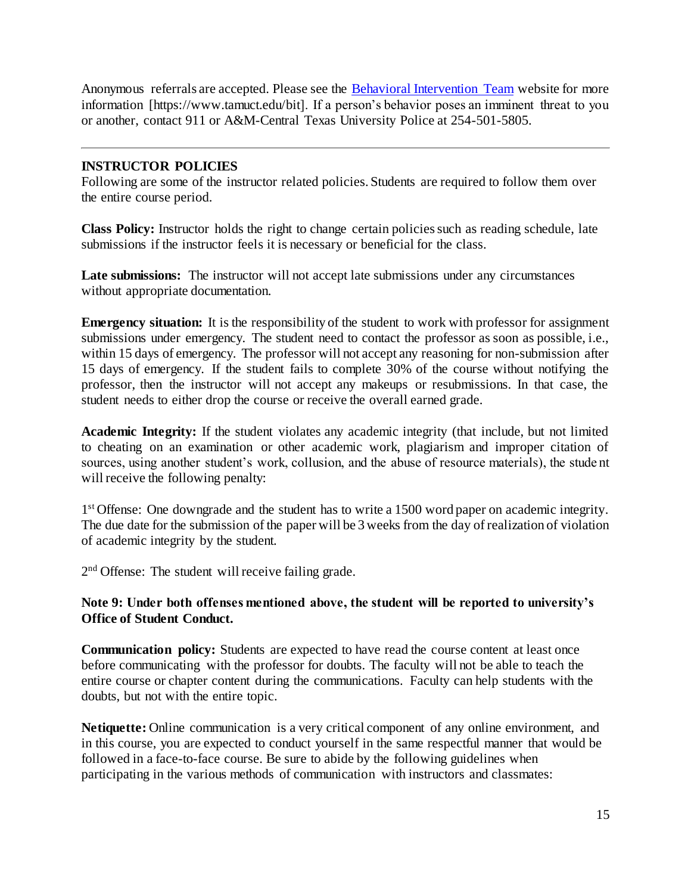Anonymous referrals are accepted. Please see the **Behavioral Intervention Team website for more** information [https://www.tamuct.edu/bit]. If a person's behavior poses an imminent threat to you or another, contact 911 or A&M-Central Texas University Police at 254-501-5805.

## **INSTRUCTOR POLICIES**

Following are some of the instructor related policies. Students are required to follow them over the entire course period.

**Class Policy:** Instructor holds the right to change certain policies such as reading schedule, late submissions if the instructor feels it is necessary or beneficial for the class.

**Late submissions:** The instructor will not accept late submissions under any circumstances without appropriate documentation.

**Emergency situation:** It is the responsibility of the student to work with professor for assignment submissions under emergency. The student need to contact the professor as soon as possible, i.e., within 15 days of emergency. The professor will not accept any reasoning for non-submission after 15 days of emergency. If the student fails to complete 30% of the course without notifying the professor, then the instructor will not accept any makeups or resubmissions. In that case, the student needs to either drop the course or receive the overall earned grade.

**Academic Integrity:** If the student violates any academic integrity (that include, but not limited to cheating on an examination or other academic work, plagiarism and improper citation of sources, using another student's work, collusion, and the abuse of resource materials), the stude nt will receive the following penalty:

1<sup>st</sup> Offense: One downgrade and the student has to write a 1500 word paper on academic integrity. The due date for the submission of the paper will be 3 weeks from the day of realization of violation of academic integrity by the student.

2<sup>nd</sup> Offense: The student will receive failing grade.

## **Note 9: Under both offenses mentioned above, the student will be reported to university's Office of Student Conduct.**

**Communication policy:** Students are expected to have read the course content at least once before communicating with the professor for doubts. The faculty will not be able to teach the entire course or chapter content during the communications. Faculty can help students with the doubts, but not with the entire topic.

**Netiquette:** Online communication is a very critical component of any online environment, and in this course, you are expected to conduct yourself in the same respectful manner that would be followed in a face-to-face course. Be sure to abide by the following guidelines when participating in the various methods of communication with instructors and classmates: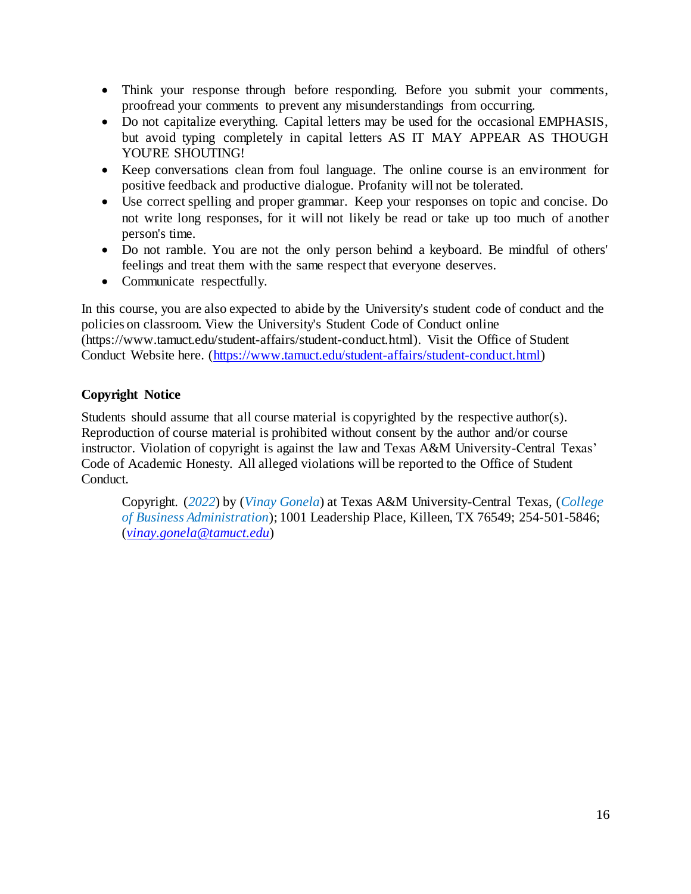- Think your response through before responding. Before you submit your comments, proofread your comments to prevent any misunderstandings from occurring.
- Do not capitalize everything. Capital letters may be used for the occasional EMPHASIS, but avoid typing completely in capital letters AS IT MAY APPEAR AS THOUGH YOU'RE SHOUTING!
- Keep conversations clean from foul language. The online course is an environment for positive feedback and productive dialogue. Profanity will not be tolerated.
- Use correct spelling and proper grammar. Keep your responses on topic and concise. Do not write long responses, for it will not likely be read or take up too much of another person's time.
- Do not ramble. You are not the only person behind a keyboard. Be mindful of others' feelings and treat them with the same respect that everyone deserves.
- Communicate respectfully.

In this course, you are also expected to abide by the University's student code of conduct and the policies on classroom. View the University's Student Code of Conduct online (https://www.tamuct.edu/student-affairs/student-conduct.html). Visit the Office of Student Conduct Website here. [\(https://www.tamuct.edu/student-affairs/student-conduct.html\)](https://www.tamuct.edu/student-affairs/student-conduct.html)

# **Copyright Notice**

Students should assume that all course material is copyrighted by the respective author(s). Reproduction of course material is prohibited without consent by the author and/or course instructor. Violation of copyright is against the law and Texas A&M University-Central Texas' Code of Academic Honesty. All alleged violations will be reported to the Office of Student Conduct.

Copyright. (*2022*) by (*Vinay Gonela*) at Texas A&M University-Central Texas, (*College of Business Administration*); 1001 Leadership Place, Killeen, TX 76549; 254-501-5846; (*[vinay.gonela@tamuct.edu](mailto:vinay.gonela@tamuct.edu)*)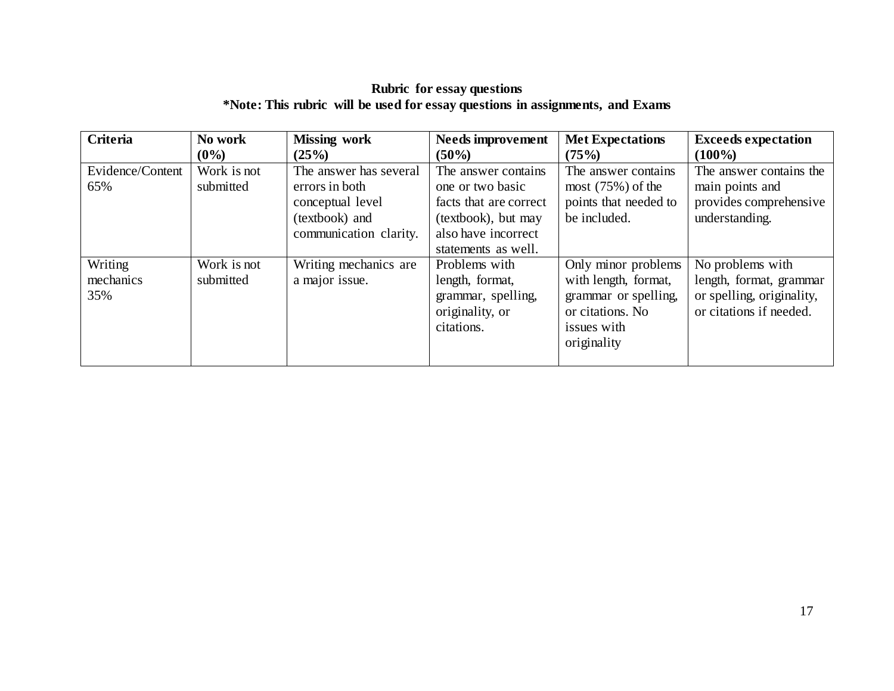# **Rubric for essay questions \*Note: This rubric will be used for essay questions in assignments, and Exams**

| <b>Criteria</b>             | No work<br>$(0\%)$       | <b>Missing work</b><br>(25%)                                                                             | <b>Needs improvement</b><br>$(50\%)$                                                                                                   | <b>Met Expectations</b><br>(75%)                                                                                      | <b>Exceeds expectation</b><br>$(100\%)$                                                             |
|-----------------------------|--------------------------|----------------------------------------------------------------------------------------------------------|----------------------------------------------------------------------------------------------------------------------------------------|-----------------------------------------------------------------------------------------------------------------------|-----------------------------------------------------------------------------------------------------|
| Evidence/Content<br>65%     | Work is not<br>submitted | The answer has several<br>errors in both<br>conceptual level<br>(textbook) and<br>communication clarity. | The answer contains<br>one or two basic<br>facts that are correct<br>(textbook), but may<br>also have incorrect<br>statements as well. | The answer contains.<br>most $(75%)$ of the<br>points that needed to<br>be included.                                  | The answer contains the<br>main points and<br>provides comprehensive<br>understanding.              |
| Writing<br>mechanics<br>35% | Work is not<br>submitted | Writing mechanics are<br>a major issue.                                                                  | Problems with<br>length, format,<br>grammar, spelling,<br>originality, or<br>citations.                                                | Only minor problems<br>with length, format,<br>grammar or spelling,<br>or citations. No<br>issues with<br>originality | No problems with<br>length, format, grammar<br>or spelling, originality,<br>or citations if needed. |